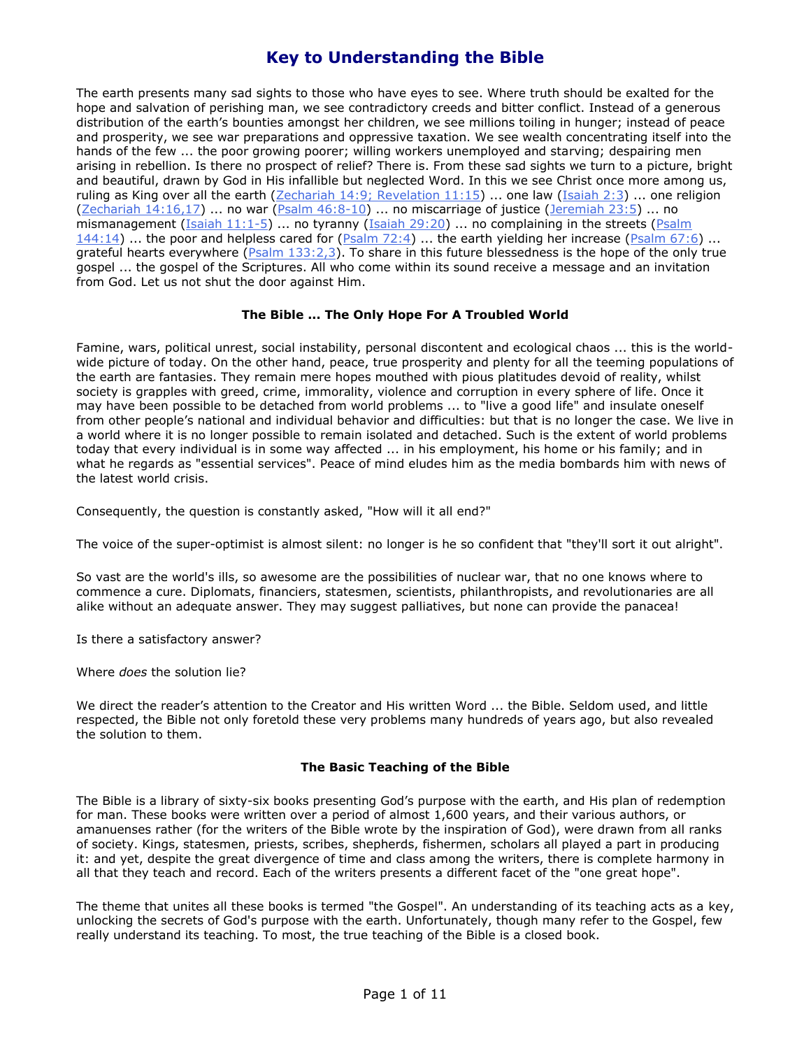The earth presents many sad sights to those who have eyes to see. Where truth should be exalted for the hope and salvation of perishing man, we see contradictory creeds and bitter conflict. Instead of a generous distribution of the earth's bounties amongst her children, we see millions toiling in hunger; instead of peace and prosperity, we see war preparations and oppressive taxation. We see wealth concentrating itself into the hands of the few ... the poor growing poorer; willing workers unemployed and starving; despairing men arising in rebellion. Is there no prospect of relief? There is. From these sad sights we turn to a picture, bright and beautiful, drawn by God in His infallible but neglected Word. In this we see Christ once more among us, ruling as King over all the earth [\(Zechariah 14:9; Revelation 11:15\)](javascript:OpenBibleVerse() ... one law [\(Isaiah 2:3\)](javascript:OpenBibleVerse() ... one religion [\(Zechariah 14:16,17\)](javascript:OpenBibleVerse() ... no war [\(Psalm 46:8-10\)](javascript:OpenBibleVerse() ... no miscarriage of justice [\(Jeremiah 23:5\)](javascript:OpenBibleVerse() ... no mismanagement [\(Isaiah 11:1-5\)](javascript:OpenBibleVerse() ... no tyranny [\(Isaiah 29:20\)](javascript:OpenBibleVerse() ... no complaining in the streets (Psalm  $144:14$ ) ... the poor and helpless cared for [\(Psalm 72:4\)](javascript:OpenBibleVerse() ... the earth yielding her increase [\(Psalm 67:6\)](javascript:OpenBibleVerse() ... grateful hearts everywhere (*Psalm 133:2,3*). To share in this future blessedness is the hope of the only true gospel ... the gospel of the Scriptures. All who come within its sound receive a message and an invitation from God. Let us not shut the door against Him.

### **The Bible ... The Only Hope For A Troubled World**

Famine, wars, political unrest, social instability, personal discontent and ecological chaos ... this is the worldwide picture of today. On the other hand, peace, true prosperity and plenty for all the teeming populations of the earth are fantasies. They remain mere hopes mouthed with pious platitudes devoid of reality, whilst society is grapples with greed, crime, immorality, violence and corruption in every sphere of life. Once it may have been possible to be detached from world problems ... to "live a good life" and insulate oneself from other people's national and individual behavior and difficulties: but that is no longer the case. We live in a world where it is no longer possible to remain isolated and detached. Such is the extent of world problems today that every individual is in some way affected ... in his employment, his home or his family; and in what he regards as "essential services". Peace of mind eludes him as the media bombards him with news of the latest world crisis.

Consequently, the question is constantly asked, "How will it all end?"

The voice of the super-optimist is almost silent: no longer is he so confident that "they'll sort it out alright".

So vast are the world's ills, so awesome are the possibilities of nuclear war, that no one knows where to commence a cure. Diplomats, financiers, statesmen, scientists, philanthropists, and revolutionaries are all alike without an adequate answer. They may suggest palliatives, but none can provide the panacea!

Is there a satisfactory answer?

Where *does* the solution lie?

We direct the reader's attention to the Creator and His written Word ... the Bible. Seldom used, and little respected, the Bible not only foretold these very problems many hundreds of years ago, but also revealed the solution to them.

### **The Basic Teaching of the Bible**

The Bible is a library of sixty-six books presenting God's purpose with the earth, and His plan of redemption for man. These books were written over a period of almost 1,600 years, and their various authors, or amanuenses rather (for the writers of the Bible wrote by the inspiration of God), were drawn from all ranks of society. Kings, statesmen, priests, scribes, shepherds, fishermen, scholars all played a part in producing it: and yet, despite the great divergence of time and class among the writers, there is complete harmony in all that they teach and record. Each of the writers presents a different facet of the "one great hope".

The theme that unites all these books is termed "the Gospel". An understanding of its teaching acts as a key, unlocking the secrets of God's purpose with the earth. Unfortunately, though many refer to the Gospel, few really understand its teaching. To most, the true teaching of the Bible is a closed book.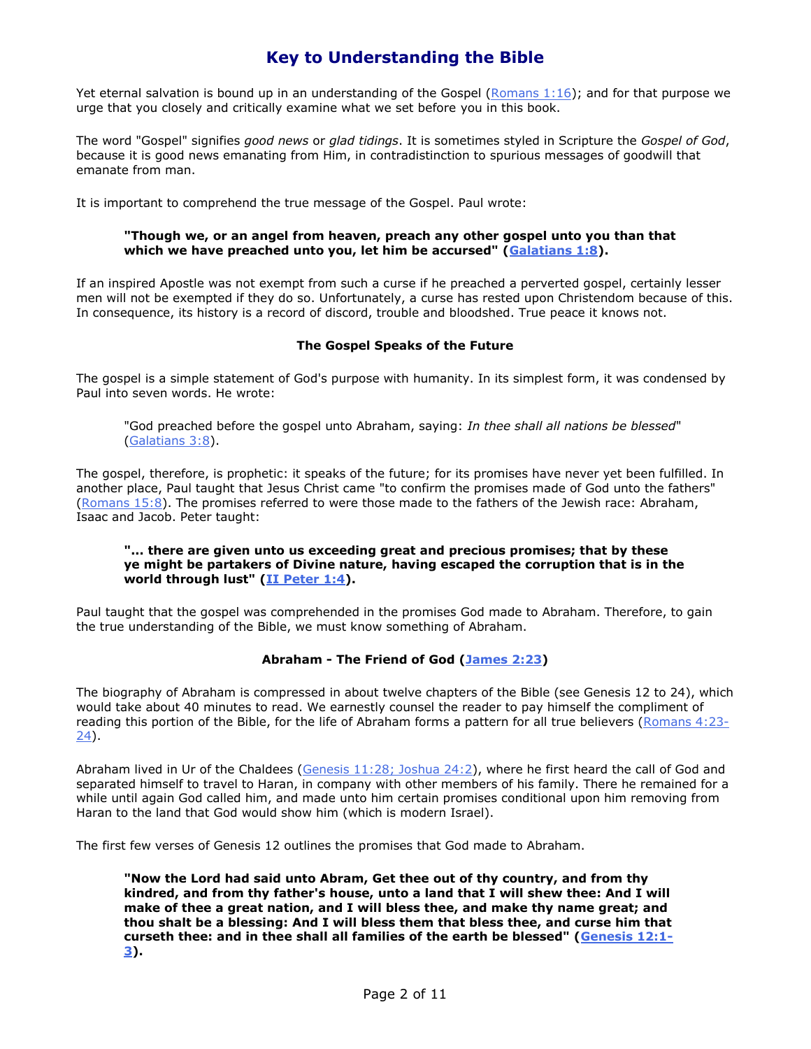Yet eternal salvation is bound up in an understanding of the Gospel (Romans  $1:16$ ); and for that purpose we urge that you closely and critically examine what we set before you in this book.

The word "Gospel" signifies *good news* or *glad tidings*. It is sometimes styled in Scripture the *Gospel of God*, because it is good news emanating from Him, in contradistinction to spurious messages of goodwill that emanate from man.

It is important to comprehend the true message of the Gospel. Paul wrote:

### **"Though we, or an angel from heaven, preach any other gospel unto you than that which we have preached unto you, let him be accursed" [\(Galatians 1:8\)](javascript:OpenBibleVerse().**

If an inspired Apostle was not exempt from such a curse if he preached a perverted gospel, certainly lesser men will not be exempted if they do so. Unfortunately, a curse has rested upon Christendom because of this. In consequence, its history is a record of discord, trouble and bloodshed. True peace it knows not.

### **The Gospel Speaks of the Future**

The gospel is a simple statement of God's purpose with humanity. In its simplest form, it was condensed by Paul into seven words. He wrote:

"God preached before the gospel unto Abraham, saying: *In thee shall all nations be blessed*" [\(Galatians 3:8\)](javascript:OpenBibleVerse().

The gospel, therefore, is prophetic: it speaks of the future; for its promises have never yet been fulfilled. In another place, Paul taught that Jesus Christ came "to confirm the promises made of God unto the fathers" [\(Romans 15:8\)](javascript:OpenBibleVerse(). The promises referred to were those made to the fathers of the Jewish race: Abraham, Isaac and Jacob. Peter taught:

#### **"... there are given unto us exceeding great and precious promises; that by these ye might be partakers of Divine nature, having escaped the corruption that is in the world through lust" [\(II Peter 1:4\)](javascript:OpenBibleVerse().**

Paul taught that the gospel was comprehended in the promises God made to Abraham. Therefore, to gain the true understanding of the Bible, we must know something of Abraham.

### **Abraham - The Friend of God [\(James 2:23\)](javascript:OpenBibleVerse()**

The biography of Abraham is compressed in about twelve chapters of the Bible (see Genesis 12 to 24), which would take about 40 minutes to read. We earnestly counsel the reader to pay himself the compliment of reading this portion of the Bible, for the life of Abraham forms a pattern for all true believers [\(Romans 4:23-](javascript:OpenBibleVerse() [24\)](javascript:OpenBibleVerse().

Abraham lived in Ur of the Chaldees [\(Genesis 11:28; Joshua 24:2\)](javascript:OpenBibleVerse(), where he first heard the call of God and separated himself to travel to Haran, in company with other members of his family. There he remained for a while until again God called him, and made unto him certain promises conditional upon him removing from Haran to the land that God would show him (which is modern Israel).

The first few verses of Genesis 12 outlines the promises that God made to Abraham.

**"Now the Lord had said unto Abram, Get thee out of thy country, and from thy kindred, and from thy father's house, unto a land that I will shew thee: And I will make of thee a great nation, and I will bless thee, and make thy name great; and thou shalt be a blessing: And I will bless them that bless thee, and curse him that curseth thee: and in thee shall all families of the earth be blessed" [\(Genesis 12:1-](javascript:OpenBibleVerse() [3\)](javascript:OpenBibleVerse().**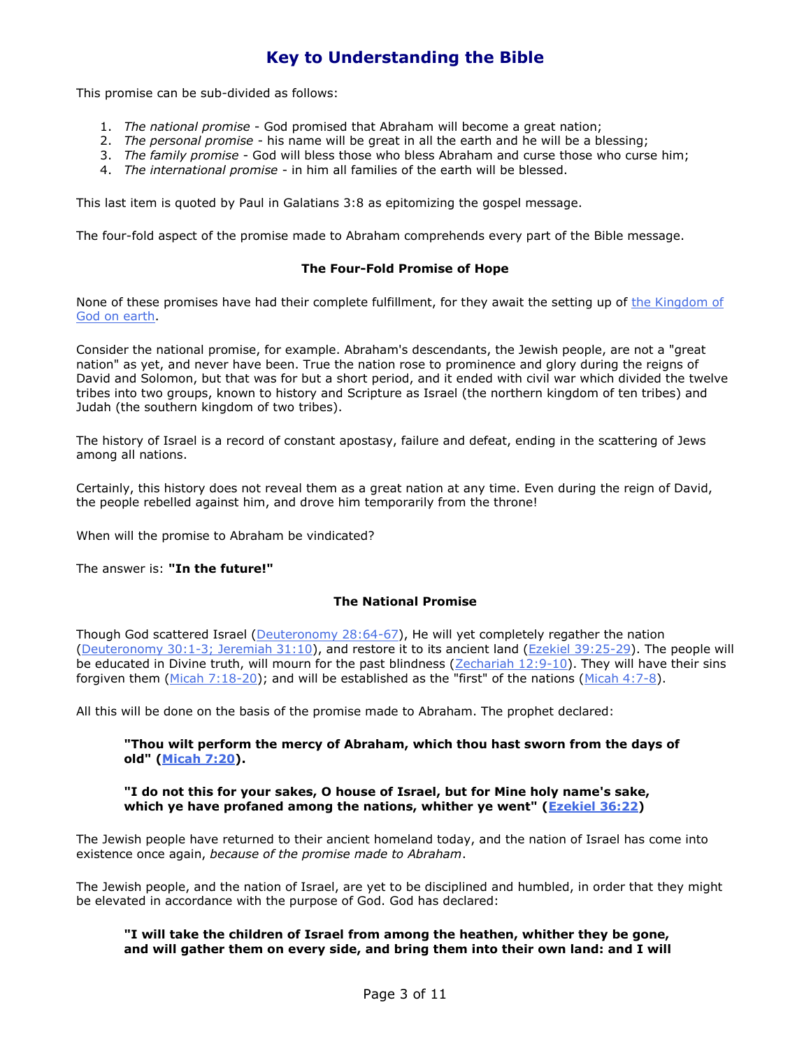This promise can be sub-divided as follows:

- 1. *The national promise* God promised that Abraham will become a great nation;
- 2. *The personal promise* his name will be great in all the earth and he will be a blessing;
- 3. *The family promise* God will bless those who bless Abraham and curse those who curse him;
- 4. *The international promise* in him all families of the earth will be blessed.

This last item is quoted by Paul in Galatians 3:8 as epitomizing the gospel message.

The four-fold aspect of the promise made to Abraham comprehends every part of the Bible message.

### **The Four-Fold Promise of Hope**

None of these promises have had their complete fulfillment, for they await the setting up of the Kingdom of [God on earth.](http://www.theonehope.org/readliterature.asp?ID=23)

Consider the national promise, for example. Abraham's descendants, the Jewish people, are not a "great nation" as yet, and never have been. True the nation rose to prominence and glory during the reigns of David and Solomon, but that was for but a short period, and it ended with civil war which divided the twelve tribes into two groups, known to history and Scripture as Israel (the northern kingdom of ten tribes) and Judah (the southern kingdom of two tribes).

The history of Israel is a record of constant apostasy, failure and defeat, ending in the scattering of Jews among all nations.

Certainly, this history does not reveal them as a great nation at any time. Even during the reign of David, the people rebelled against him, and drove him temporarily from the throne!

When will the promise to Abraham be vindicated?

The answer is: **"In the future!"**

### **The National Promise**

Though God scattered Israel [\(Deuteronomy 28:64-67\)](javascript:OpenBibleVerse(), He will yet completely regather the nation [\(Deuteronomy 30:1-3; Jeremiah 31:10\)](javascript:OpenBibleVerse(), and restore it to its ancient land [\(Ezekiel 39:25-29\)](javascript:OpenBibleVerse(). The people will be educated in Divine truth, will mourn for the past blindness [\(Zechariah 12:9-10\)](javascript:OpenBibleVerse(). They will have their sins forgiven them [\(Micah 7:18-20\)](javascript:OpenBibleVerse(); and will be established as the "first" of the nations [\(Micah 4:7-8\)](javascript:OpenBibleVerse().

All this will be done on the basis of the promise made to Abraham. The prophet declared:

### **"Thou wilt perform the mercy of Abraham, which thou hast sworn from the days of old" [\(Micah 7:20\)](javascript:OpenBibleVerse().**

#### **"I do not this for your sakes, O house of Israel, but for Mine holy name's sake, which ye have profaned among the nations, whither ye went" [\(Ezekiel 36:22\)](javascript:OpenBibleVerse()**

The Jewish people have returned to their ancient homeland today, and the nation of Israel has come into existence once again, *because of the promise made to Abraham*.

The Jewish people, and the nation of Israel, are yet to be disciplined and humbled, in order that they might be elevated in accordance with the purpose of God. God has declared:

### **"I will take the children of Israel from among the heathen, whither they be gone, and will gather them on every side, and bring them into their own land: and I will**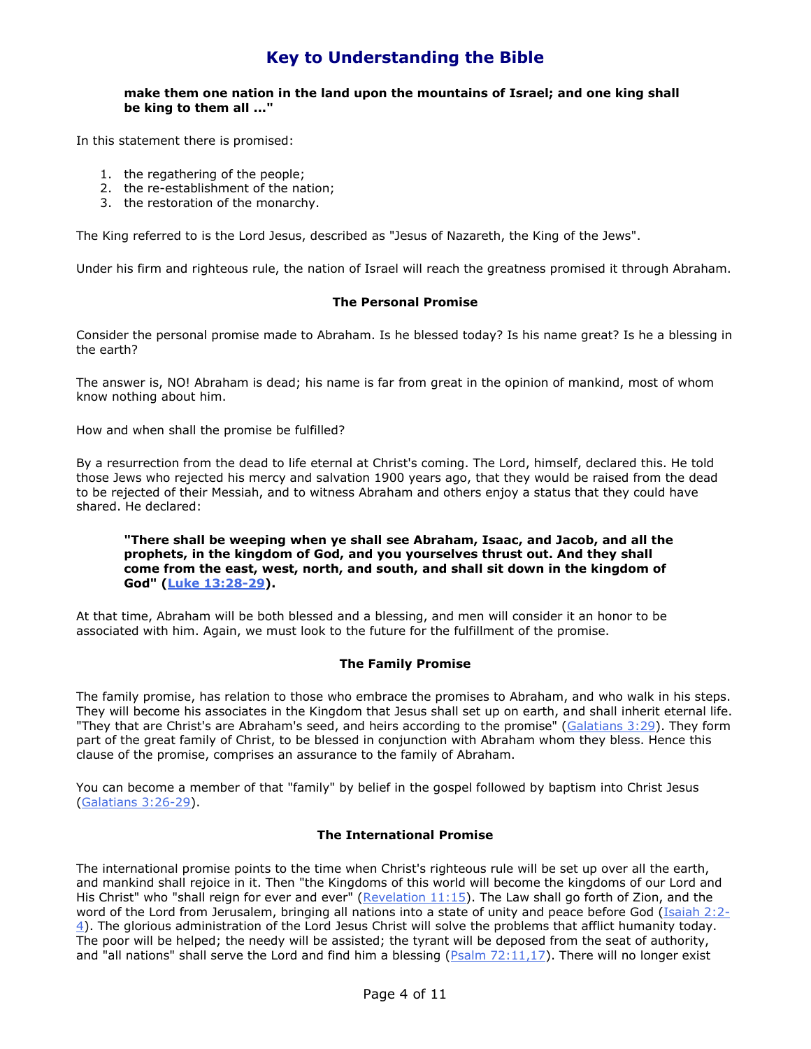### **make them one nation in the land upon the mountains of Israel; and one king shall be king to them all ..."**

In this statement there is promised:

- 1. the regathering of the people;
- 2. the re-establishment of the nation;
- 3. the restoration of the monarchy.

The King referred to is the Lord Jesus, described as "Jesus of Nazareth, the King of the Jews".

Under his firm and righteous rule, the nation of Israel will reach the greatness promised it through Abraham.

### **The Personal Promise**

Consider the personal promise made to Abraham. Is he blessed today? Is his name great? Is he a blessing in the earth?

The answer is, NO! Abraham is dead; his name is far from great in the opinion of mankind, most of whom know nothing about him.

How and when shall the promise be fulfilled?

By a resurrection from the dead to life eternal at Christ's coming. The Lord, himself, declared this. He told those Jews who rejected his mercy and salvation 1900 years ago, that they would be raised from the dead to be rejected of their Messiah, and to witness Abraham and others enjoy a status that they could have shared. He declared:

#### **"There shall be weeping when ye shall see Abraham, Isaac, and Jacob, and all the prophets, in the kingdom of God, and you yourselves thrust out. And they shall come from the east, west, north, and south, and shall sit down in the kingdom of God" [\(Luke 13:28-29\)](javascript:OpenBibleVerse().**

At that time, Abraham will be both blessed and a blessing, and men will consider it an honor to be associated with him. Again, we must look to the future for the fulfillment of the promise.

#### **The Family Promise**

The family promise, has relation to those who embrace the promises to Abraham, and who walk in his steps. They will become his associates in the Kingdom that Jesus shall set up on earth, and shall inherit eternal life. "They that are Christ's are Abraham's seed, and heirs according to the promise" [\(Galatians 3:29\)](javascript:OpenBibleVerse(). They form part of the great family of Christ, to be blessed in conjunction with Abraham whom they bless. Hence this clause of the promise, comprises an assurance to the family of Abraham.

You can become a member of that "family" by belief in the gospel followed by baptism into Christ Jesus [\(Galatians 3:26-29\)](javascript:OpenBibleVerse().

### **The International Promise**

The international promise points to the time when Christ's righteous rule will be set up over all the earth, and mankind shall rejoice in it. Then "the Kingdoms of this world will become the kingdoms of our Lord and His Christ" who "shall reign for ever and ever" [\(Revelation 11:15\)](javascript:OpenBibleVerse(). The Law shall go forth of Zion, and the word of the Lord from Jerusalem, bringing all nations into a state of unity and peace before God [\(Isaiah 2:2-](javascript:OpenBibleVerse() [4\)](javascript:OpenBibleVerse(). The glorious administration of the Lord Jesus Christ will solve the problems that afflict humanity today. The poor will be helped; the needy will be assisted; the tyrant will be deposed from the seat of authority, and "all nations" shall serve the Lord and find him a blessing  $(Psalm 72:11,17)$ . There will no longer exist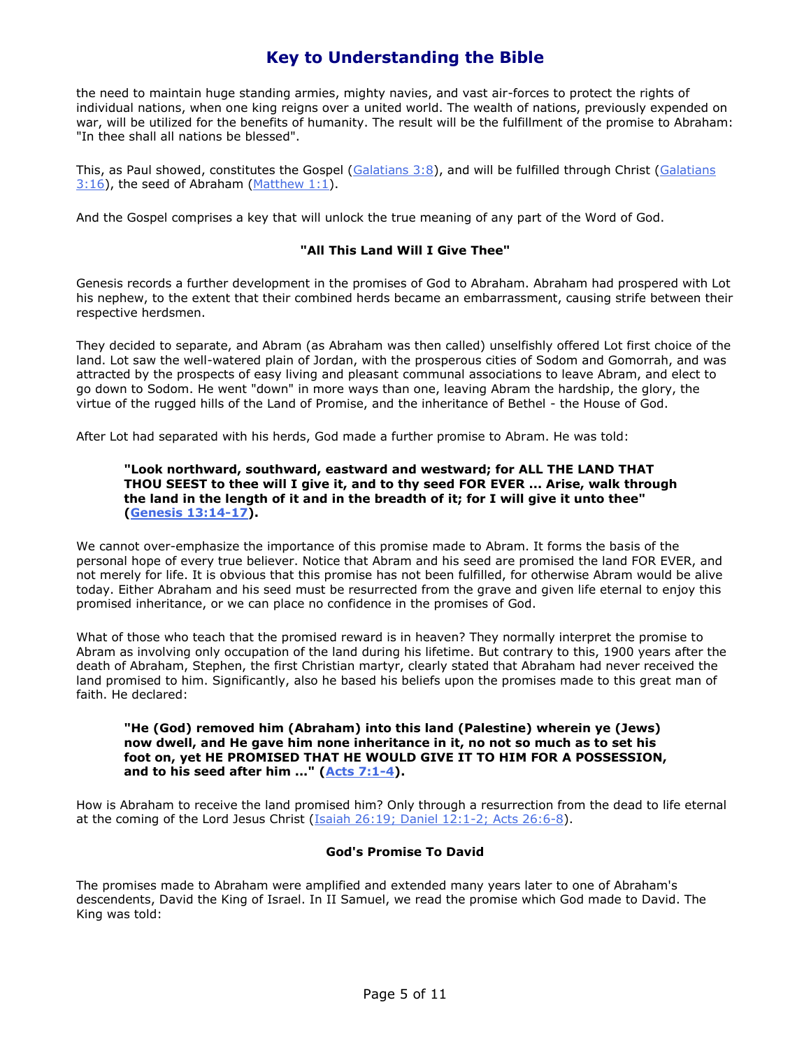the need to maintain huge standing armies, mighty navies, and vast air-forces to protect the rights of individual nations, when one king reigns over a united world. The wealth of nations, previously expended on war, will be utilized for the benefits of humanity. The result will be the fulfillment of the promise to Abraham: "In thee shall all nations be blessed".

This, as Paul showed, constitutes the Gospel [\(Galatians 3:8\)](javascript:OpenBibleVerse(), and will be fulfilled through Christ (Galatians [3:16\)](javascript:OpenBibleVerse(), the seed of Abraham [\(Matthew 1:1\)](javascript:OpenBibleVerse().

And the Gospel comprises a key that will unlock the true meaning of any part of the Word of God.

### **"All This Land Will I Give Thee"**

Genesis records a further development in the promises of God to Abraham. Abraham had prospered with Lot his nephew, to the extent that their combined herds became an embarrassment, causing strife between their respective herdsmen.

They decided to separate, and Abram (as Abraham was then called) unselfishly offered Lot first choice of the land. Lot saw the well-watered plain of Jordan, with the prosperous cities of Sodom and Gomorrah, and was attracted by the prospects of easy living and pleasant communal associations to leave Abram, and elect to go down to Sodom. He went "down" in more ways than one, leaving Abram the hardship, the glory, the virtue of the rugged hills of the Land of Promise, and the inheritance of Bethel - the House of God.

After Lot had separated with his herds, God made a further promise to Abram. He was told:

### **"Look northward, southward, eastward and westward; for ALL THE LAND THAT THOU SEEST to thee will I give it, and to thy seed FOR EVER ... Arise, walk through the land in the length of it and in the breadth of it; for I will give it unto thee" [\(Genesis 13:14-17\)](javascript:OpenBibleVerse().**

We cannot over-emphasize the importance of this promise made to Abram. It forms the basis of the personal hope of every true believer. Notice that Abram and his seed are promised the land FOR EVER, and not merely for life. It is obvious that this promise has not been fulfilled, for otherwise Abram would be alive today. Either Abraham and his seed must be resurrected from the grave and given life eternal to enjoy this promised inheritance, or we can place no confidence in the promises of God.

What of those who teach that the promised reward is in heaven? They normally interpret the promise to Abram as involving only occupation of the land during his lifetime. But contrary to this, 1900 years after the death of Abraham, Stephen, the first Christian martyr, clearly stated that Abraham had never received the land promised to him. Significantly, also he based his beliefs upon the promises made to this great man of faith. He declared:

### **"He (God) removed him (Abraham) into this land (Palestine) wherein ye (Jews) now dwell, and He gave him none inheritance in it, no not so much as to set his foot on, yet HE PROMISED THAT HE WOULD GIVE IT TO HIM FOR A POSSESSION, and to his seed after him ..." [\(Acts 7:1-4\)](javascript:OpenBibleVerse().**

How is Abraham to receive the land promised him? Only through a resurrection from the dead to life eternal at the coming of the Lord Jesus Christ [\(Isaiah 26:19; Daniel 12:1-2; Acts 26:6-8\)](javascript:OpenBibleVerse().

### **God's Promise To David**

The promises made to Abraham were amplified and extended many years later to one of Abraham's descendents, David the King of Israel. In II Samuel, we read the promise which God made to David. The King was told: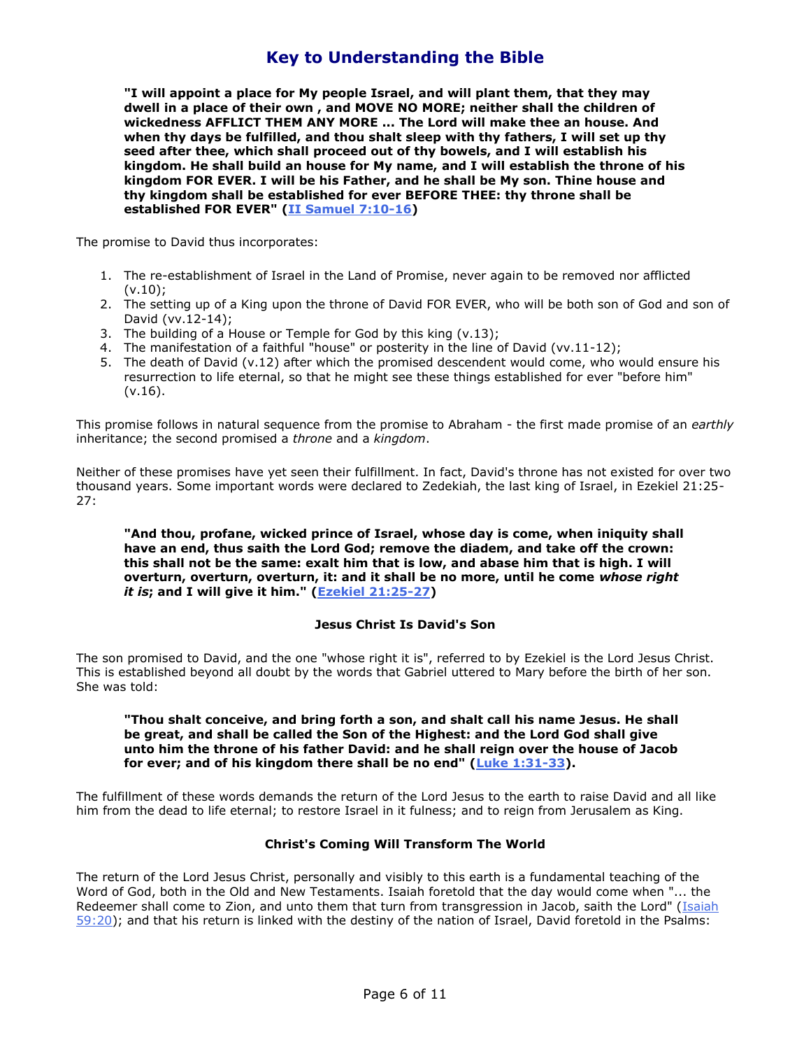**"I will appoint a place for My people Israel, and will plant them, that they may dwell in a place of their own , and MOVE NO MORE; neither shall the children of wickedness AFFLICT THEM ANY MORE ... The Lord will make thee an house. And when thy days be fulfilled, and thou shalt sleep with thy fathers, I will set up thy seed after thee, which shall proceed out of thy bowels, and I will establish his kingdom. He shall build an house for My name, and I will establish the throne of his kingdom FOR EVER. I will be his Father, and he shall be My son. Thine house and thy kingdom shall be established for ever BEFORE THEE: thy throne shall be established FOR EVER" [\(II Samuel 7:10-16\)](javascript:OpenBibleVerse()**

The promise to David thus incorporates:

- 1. The re-establishment of Israel in the Land of Promise, never again to be removed nor afflicted  $(v.10)$ :
- 2. The setting up of a King upon the throne of David FOR EVER, who will be both son of God and son of David (vv.12-14);
- 3. The building of a House or Temple for God by this king (v.13);
- 4. The manifestation of a faithful "house" or posterity in the line of David (vv.11-12);
- 5. The death of David (v.12) after which the promised descendent would come, who would ensure his resurrection to life eternal, so that he might see these things established for ever "before him" (v.16).

This promise follows in natural sequence from the promise to Abraham - the first made promise of an *earthly* inheritance; the second promised a *throne* and a *kingdom*.

Neither of these promises have yet seen their fulfillment. In fact, David's throne has not existed for over two thousand years. Some important words were declared to Zedekiah, the last king of Israel, in Ezekiel 21:25- 27:

**"And thou, profane, wicked prince of Israel, whose day is come, when iniquity shall have an end, thus saith the Lord God; remove the diadem, and take off the crown: this shall not be the same: exalt him that is low, and abase him that is high. I will overturn, overturn, overturn, it: and it shall be no more, until he come** *whose right it is***; and I will give it him." [\(Ezekiel 21:25-27\)](javascript:OpenBibleVerse()**

#### **Jesus Christ Is David's Son**

The son promised to David, and the one "whose right it is", referred to by Ezekiel is the Lord Jesus Christ. This is established beyond all doubt by the words that Gabriel uttered to Mary before the birth of her son. She was told:

#### **"Thou shalt conceive, and bring forth a son, and shalt call his name Jesus. He shall be great, and shall be called the Son of the Highest: and the Lord God shall give unto him the throne of his father David: and he shall reign over the house of Jacob for ever; and of his kingdom there shall be no end" [\(Luke 1:31-33\)](javascript:OpenBibleVerse().**

The fulfillment of these words demands the return of the Lord Jesus to the earth to raise David and all like him from the dead to life eternal; to restore Israel in it fulness; and to reign from Jerusalem as King.

### **Christ's Coming Will Transform The World**

The return of the Lord Jesus Christ, personally and visibly to this earth is a fundamental teaching of the Word of God, both in the Old and New Testaments. Isaiah foretold that the day would come when "... the Redeemer shall come to Zion, and unto them that turn from transgression in Jacob, saith the Lord" [\(Isaiah](javascript:OpenBibleVerse()  [59:20\)](javascript:OpenBibleVerse(); and that his return is linked with the destiny of the nation of Israel, David foretold in the Psalms: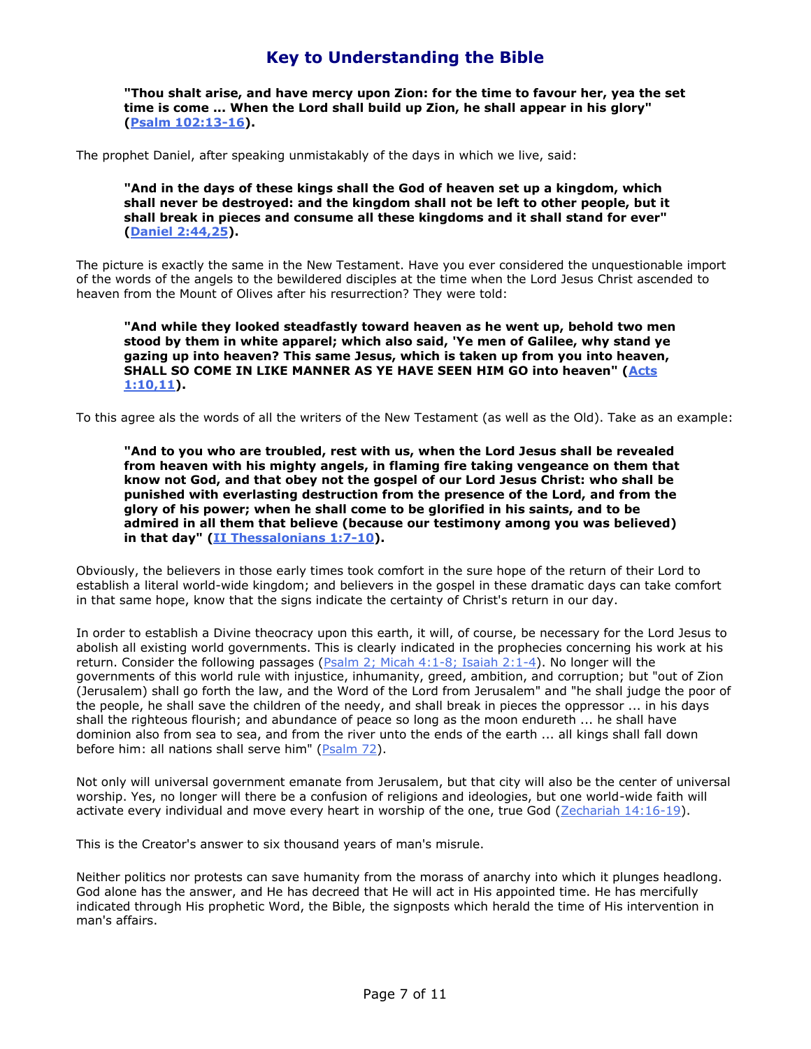**"Thou shalt arise, and have mercy upon Zion: for the time to favour her, yea the set time is come ... When the Lord shall build up Zion, he shall appear in his glory" [\(Psalm 102:13-16\)](javascript:OpenBibleVerse().**

The prophet Daniel, after speaking unmistakably of the days in which we live, said:

**"And in the days of these kings shall the God of heaven set up a kingdom, which shall never be destroyed: and the kingdom shall not be left to other people, but it shall break in pieces and consume all these kingdoms and it shall stand for ever" [\(Daniel 2:44,25\)](javascript:OpenBibleVerse().**

The picture is exactly the same in the New Testament. Have you ever considered the unquestionable import of the words of the angels to the bewildered disciples at the time when the Lord Jesus Christ ascended to heaven from the Mount of Olives after his resurrection? They were told:

**"And while they looked steadfastly toward heaven as he went up, behold two men stood by them in white apparel; which also said, 'Ye men of Galilee, why stand ye gazing up into heaven? This same Jesus, which is taken up from you into heaven, SHALL SO COME IN LIKE MANNER AS YE HAVE SEEN HIM GO into heaven" [\(Acts](javascript:OpenBibleVerse()  [1:10,11\)](javascript:OpenBibleVerse().**

To this agree als the words of all the writers of the New Testament (as well as the Old). Take as an example:

**"And to you who are troubled, rest with us, when the Lord Jesus shall be revealed from heaven with his mighty angels, in flaming fire taking vengeance on them that know not God, and that obey not the gospel of our Lord Jesus Christ: who shall be punished with everlasting destruction from the presence of the Lord, and from the glory of his power; when he shall come to be glorified in his saints, and to be admired in all them that believe (because our testimony among you was believed) in that day" [\(II Thessalonians 1:7-10\)](javascript:OpenBibleVerse().**

Obviously, the believers in those early times took comfort in the sure hope of the return of their Lord to establish a literal world-wide kingdom; and believers in the gospel in these dramatic days can take comfort in that same hope, know that the signs indicate the certainty of Christ's return in our day.

In order to establish a Divine theocracy upon this earth, it will, of course, be necessary for the Lord Jesus to abolish all existing world governments. This is clearly indicated in the prophecies concerning his work at his return. Consider the following passages ( $P_{\text{Salm}}$  2; Micah 4:1-8; Isaiah 2:1-4). No longer will the governments of this world rule with injustice, inhumanity, greed, ambition, and corruption; but "out of Zion (Jerusalem) shall go forth the law, and the Word of the Lord from Jerusalem" and "he shall judge the poor of the people, he shall save the children of the needy, and shall break in pieces the oppressor ... in his days shall the righteous flourish; and abundance of peace so long as the moon endureth ... he shall have dominion also from sea to sea, and from the river unto the ends of the earth ... all kings shall fall down before him: all nations shall serve him" [\(Psalm 72\)](javascript:OpenBibleVerse().

Not only will universal government emanate from Jerusalem, but that city will also be the center of universal worship. Yes, no longer will there be a confusion of religions and ideologies, but one world-wide faith will activate every individual and move every heart in worship of the one, true God [\(Zechariah 14:16-19\)](javascript:OpenBibleVerse().

This is the Creator's answer to six thousand years of man's misrule.

Neither politics nor protests can save humanity from the morass of anarchy into which it plunges headlong. God alone has the answer, and He has decreed that He will act in His appointed time. He has mercifully indicated through His prophetic Word, the Bible, the signposts which herald the time of His intervention in man's affairs.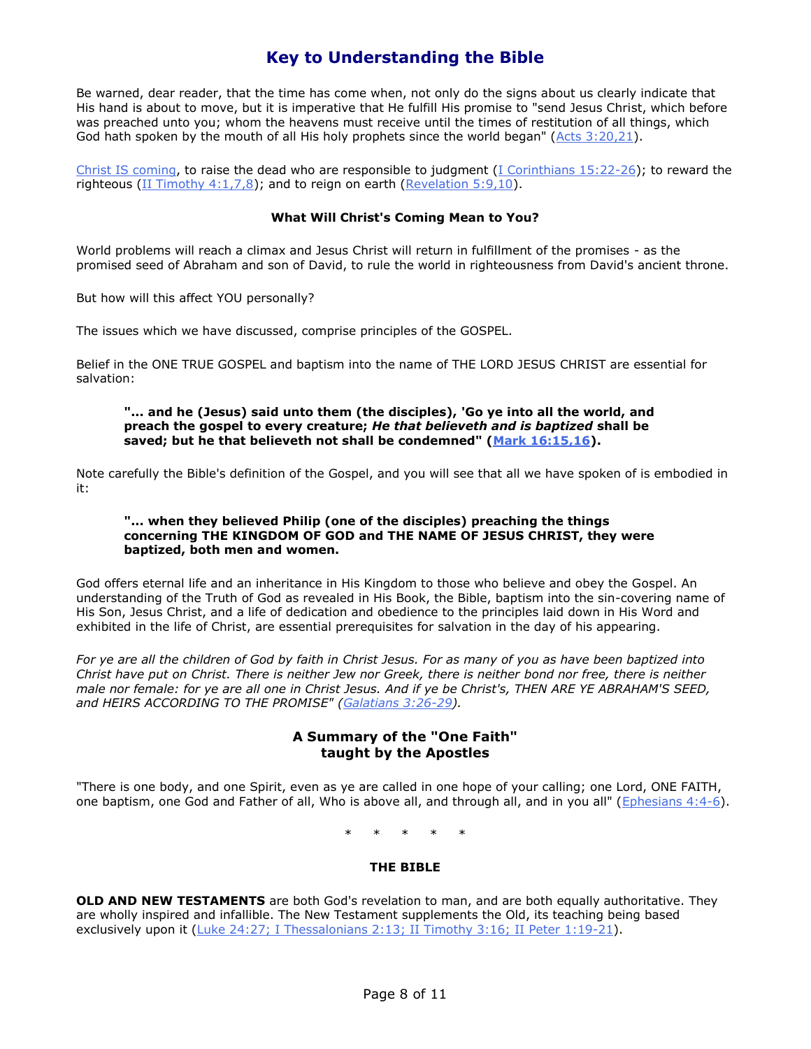Be warned, dear reader, that the time has come when, not only do the signs about us clearly indicate that His hand is about to move, but it is imperative that He fulfill His promise to "send Jesus Christ, which before was preached unto you; whom the heavens must receive until the times of restitution of all things, which God hath spoken by the mouth of all His holy prophets since the world began" (Acts  $3:20,21$ ).

[Christ IS coming,](http://www.theonehope.org/readliterature.asp?ID=3) to raise the dead who are responsible to judgment [\(I Corinthians 15:22-26\)](javascript:OpenBibleVerse(); to reward the righteous [\(II Timothy 4:1,7,8\)](javascript:OpenBibleVerse(); and to reign on earth [\(Revelation 5:9,10\)](javascript:OpenBibleVerse().

### **What Will Christ's Coming Mean to You?**

World problems will reach a climax and Jesus Christ will return in fulfillment of the promises - as the promised seed of Abraham and son of David, to rule the world in righteousness from David's ancient throne.

But how will this affect YOU personally?

The issues which we have discussed, comprise principles of the GOSPEL.

Belief in the ONE TRUE GOSPEL and baptism into the name of THE LORD JESUS CHRIST are essential for salvation:

#### **"... and he (Jesus) said unto them (the disciples), 'Go ye into all the world, and preach the gospel to every creature;** *He that believeth and is baptized* **shall be saved; but he that believeth not shall be condemned" [\(Mark 16:15,16\)](javascript:OpenBibleVerse().**

Note carefully the Bible's definition of the Gospel, and you will see that all we have spoken of is embodied in it:

#### **"... when they believed Philip (one of the disciples) preaching the things concerning THE KINGDOM OF GOD and THE NAME OF JESUS CHRIST, they were baptized, both men and women.**

God offers eternal life and an inheritance in His Kingdom to those who believe and obey the Gospel. An understanding of the Truth of God as revealed in His Book, the Bible, baptism into the sin-covering name of His Son, Jesus Christ, and a life of dedication and obedience to the principles laid down in His Word and exhibited in the life of Christ, are essential prerequisites for salvation in the day of his appearing.

*For ye are all the children of God by faith in Christ Jesus. For as many of you as have been baptized into Christ have put on Christ. There is neither Jew nor Greek, there is neither bond nor free, there is neither male nor female: for ye are all one in Christ Jesus. And if ye be Christ's, THEN ARE YE ABRAHAM'S SEED, and HEIRS ACCORDING TO THE PROMISE" [\(Galatians 3:26-29\)](javascript:OpenBibleVerse().*

## **A Summary of the "One Faith" taught by the Apostles**

"There is one body, and one Spirit, even as ye are called in one hope of your calling; one Lord, ONE FAITH, one baptism, one God and Father of all, Who is above all, and through all, and in you all" [\(Ephesians 4:4-6\)](javascript:OpenBibleVerse().

\* \* \* \* \*

#### **THE BIBLE**

**OLD AND NEW TESTAMENTS** are both God's revelation to man, and are both equally authoritative. They are wholly inspired and infallible. The New Testament supplements the Old, its teaching being based exclusively upon it [\(Luke 24:27; I Thessalonians 2:13; II Timothy 3:16; II Peter 1:19-21\)](javascript:OpenBibleVerse().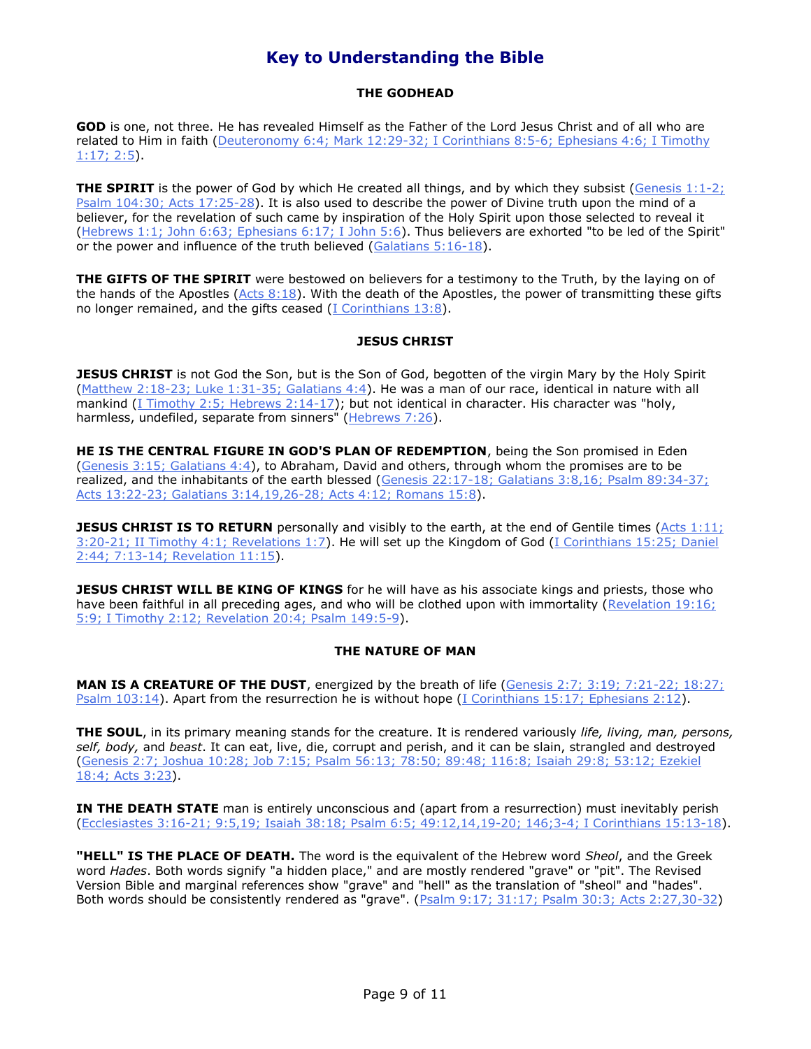## **THE GODHEAD**

**GOD** is one, not three. He has revealed Himself as the Father of the Lord Jesus Christ and of all who are related to Him in faith [\(Deuteronomy 6:4; Mark 12:29-32; I Corinthians 8:5-6; Ephesians 4:6; I Timothy](javascript:OpenBibleVerse()  [1:17; 2:5\)](javascript:OpenBibleVerse().

**THE SPIRIT** is the power of God by which He created all things, and by which they subsist [\(Genesis 1:1-2;](javascript:OpenBibleVerse() [Psalm 104:30; Acts 17:25-28\)](javascript:OpenBibleVerse(). It is also used to describe the power of Divine truth upon the mind of a believer, for the revelation of such came by inspiration of the Holy Spirit upon those selected to reveal it [\(Hebrews 1:1; John 6:63; Ephesians 6:17; I John 5:6\)](javascript:OpenBibleVerse(). Thus believers are exhorted "to be led of the Spirit" or the power and influence of the truth believed [\(Galatians 5:16-18\)](javascript:OpenBibleVerse().

**THE GIFTS OF THE SPIRIT** were bestowed on believers for a testimony to the Truth, by the laying on of the hands of the Apostles (Acts  $8:18$ ). With the death of the Apostles, the power of transmitting these gifts no longer remained, and the gifts ceased [\(I Corinthians 13:8\)](javascript:OpenBibleVerse().

## **JESUS CHRIST**

**JESUS CHRIST** is not God the Son, but is the Son of God, begotten of the virgin Mary by the Holy Spirit [\(Matthew 2:18-23; Luke 1:31-35; Galatians 4:4\)](javascript:OpenBibleVerse(). He was a man of our race, identical in nature with all mankind [\(I Timothy 2:5; Hebrews 2:14-17\)](javascript:OpenBibleVerse(); but not identical in character. His character was "holy, harmless, undefiled, separate from sinners" [\(Hebrews 7:26\)](javascript:OpenBibleVerse().

**HE IS THE CENTRAL FIGURE IN GOD'S PLAN OF REDEMPTION**, being the Son promised in Eden [\(Genesis 3:15; Galatians 4:4\)](javascript:OpenBibleVerse(), to Abraham, David and others, through whom the promises are to be realized, and the inhabitants of the earth blessed (Genesis 22:17-18; Galatians 3:8,16; Psalm 89:34-37; [Acts 13:22-23; Galatians 3:14,19,26-28; Acts 4:12; Romans 15:8\)](javascript:OpenBibleVerse().

**JESUS CHRIST IS TO RETURN** personally and visibly to the earth, at the end of Gentile times (Acts 1:11; [3:20-21; II Timothy 4:1; Revelations 1:7\)](javascript:OpenBibleVerse(). He will set up the Kingdom of God [\(I Corinthians 15:25; Daniel](javascript:OpenBibleVerse()  [2:44; 7:13-14; Revelation 11:15\)](javascript:OpenBibleVerse().

**JESUS CHRIST WILL BE KING OF KINGS** for he will have as his associate kings and priests, those who have been faithful in all preceding ages, and who will be clothed upon with immortality (Revelation 19:16; [5:9; I Timothy 2:12; Revelation 20:4; Psalm 149:5-9\)](javascript:OpenBibleVerse().

## **THE NATURE OF MAN**

**MAN IS A CREATURE OF THE DUST**, energized by the breath of life [\(Genesis 2:7; 3:19; 7:21-22; 18:27;](javascript:OpenBibleVerse()  [Psalm 103:14\)](javascript:OpenBibleVerse(). Apart from the resurrection he is without hope [\(I Corinthians 15:17; Ephesians 2:12\)](javascript:OpenBibleVerse().

**THE SOUL**, in its primary meaning stands for the creature. It is rendered variously *life, living, man, persons, self, body,* and *beast*. It can eat, live, die, corrupt and perish, and it can be slain, strangled and destroyed [\(Genesis 2:7; Joshua 10:28; Job 7:15; Psalm 56:13; 78:50; 89:48; 116:8; Isaiah 29:8; 53:12; Ezekiel](javascript:OpenBibleVerse()  [18:4; Acts 3:23\)](javascript:OpenBibleVerse().

**IN THE DEATH STATE** man is entirely unconscious and (apart from a resurrection) must inevitably perish [\(Ecclesiastes 3:16-21; 9:5,19; Isaiah 38:18; Psalm 6:5; 49:12,14,19-20; 146;3-4; I Corinthians 15:13-18\)](javascript:OpenBibleVerse().

**"HELL" IS THE PLACE OF DEATH.** The word is the equivalent of the Hebrew word *Sheol*, and the Greek word *Hades*. Both words signify "a hidden place," and are mostly rendered "grave" or "pit". The Revised Version Bible and marginal references show "grave" and "hell" as the translation of "sheol" and "hades". Both words should be consistently rendered as "grave". [\(Psalm 9:17; 31:17; Psalm 30:3; Acts 2:27,30-32\)](javascript:OpenBibleVerse()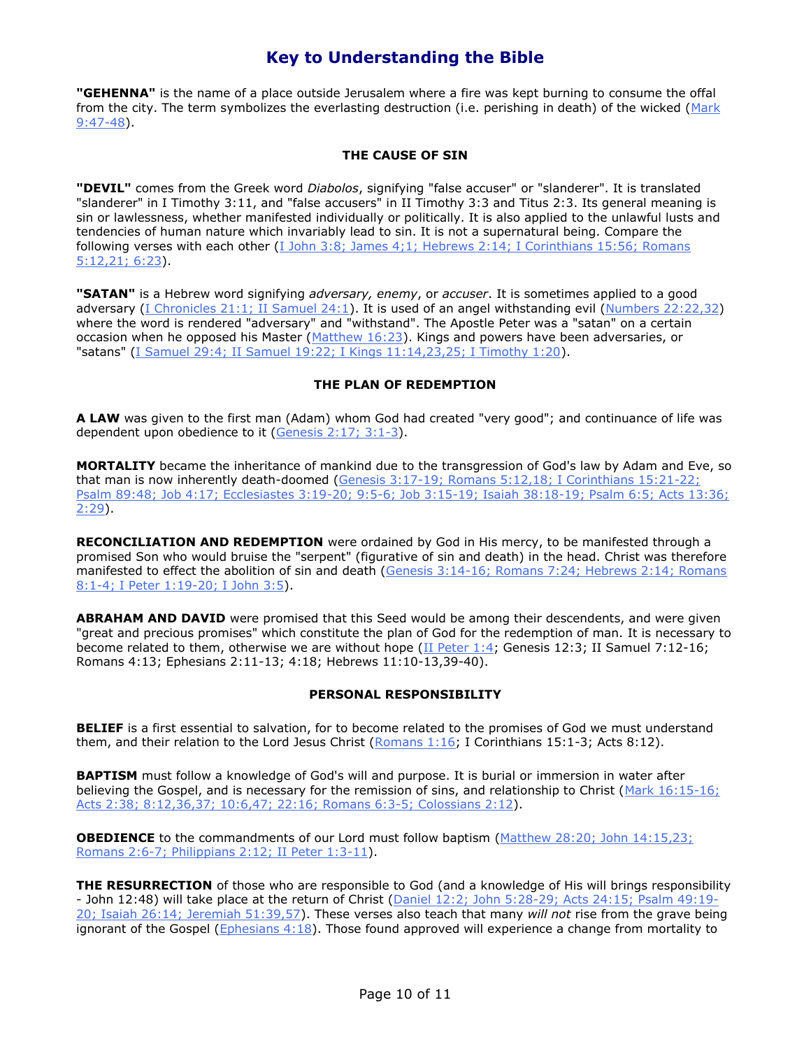**"GEHENNA"** is the name of a place outside Jerusalem where a fire was kept burning to consume the offal from the city. The term symbolizes the everlasting destruction (i.e. perishing in death) of the wicked (Mark [9:47-48\)](javascript:OpenBibleVerse().

### **THE CAUSE OF SIN**

**"DEVIL"** comes from the Greek word *Diabolos*, signifying "false accuser" or "slanderer". It is translated "slanderer" in I Timothy 3:11, and "false accusers" in II Timothy 3:3 and Titus 2:3. Its general meaning is sin or lawlessness, whether manifested individually or politically. It is also applied to the unlawful lusts and tendencies of human nature which invariably lead to sin. It is not a supernatural being. Compare the following verses with each other (I John 3:8; James 4;1; Hebrews 2:14; I Corinthians 15:56; Romans [5:12,21; 6:23\)](javascript:OpenBibleVerse().

**"SATAN"** is a Hebrew word signifying *adversary, enemy*, or *accuser*. It is sometimes applied to a good adversary [\(I Chronicles 21:1; II Samuel 24:1\)](javascript:OpenBibleVerse(). It is used of an angel withstanding evil [\(Numbers 22:22,32\)](javascript:OpenBibleVerse() where the word is rendered "adversary" and "withstand". The Apostle Peter was a "satan" on a certain occasion when he opposed his Master [\(Matthew 16:23\)](javascript:OpenBibleVerse(). Kings and powers have been adversaries, or "satans" [\(I Samuel 29:4; II Samuel 19:22; I Kings 11:14,23,25; I Timothy 1:20\)](javascript:OpenBibleVerse().

### **THE PLAN OF REDEMPTION**

**A LAW** was given to the first man (Adam) whom God had created "very good"; and continuance of life was dependent upon obedience to it [\(Genesis 2:17; 3:1-3\)](javascript:OpenBibleVerse().

**MORTALITY** became the inheritance of mankind due to the transgression of God's law by Adam and Eve, so that man is now inherently death-doomed (Genesis 3:17-19; Romans 5:12,18; I Corinthians 15:21-22; [Psalm 89:48; Job 4:17; Ecclesiastes 3:19-20; 9:5-6; Job 3:15-19; Isaiah 38:18-19; Psalm 6:5; Acts 13:36;](javascript:OpenBibleVerse()   $2:29$ ).

**RECONCILIATION AND REDEMPTION** were ordained by God in His mercy, to be manifested through a promised Son who would bruise the "serpent" (figurative of sin and death) in the head. Christ was therefore manifested to effect the abolition of sin and death (Genesis 3:14-16; Romans 7:24; Hebrews 2:14; Romans [8:1-4; I Peter 1:19-20; I John 3:5\)](javascript:OpenBibleVerse().

**ABRAHAM AND DAVID** were promised that this Seed would be among their descendents, and were given "great and precious promises" which constitute the plan of God for the redemption of man. It is necessary to become related to them, otherwise we are without hope [\(II Peter 1:4;](javascript:OpenBibleVerse() Genesis 12:3; II Samuel 7:12-16; Romans 4:13; Ephesians 2:11-13; 4:18; Hebrews 11:10-13,39-40).

## **PERSONAL RESPONSIBILITY**

**BELIEF** is a first essential to salvation, for to become related to the promises of God we must understand them, and their relation to the Lord Jesus Christ ( $\frac{Romans 1:16}$ ; I Corinthians 15:1-3; Acts 8:12).

**BAPTISM** must follow a knowledge of God's will and purpose. It is burial or immersion in water after believing the Gospel, and is necessary for the remission of sins, and relationship to Christ [\(Mark 16:15-16;](javascript:OpenBibleVerse()  [Acts 2:38; 8:12,36,37; 10:6,47; 22:16; Romans 6:3-5; Colossians 2:12\)](javascript:OpenBibleVerse().

**OBEDIENCE** to the commandments of our Lord must follow baptism (Matthew 28:20; John 14:15,23; [Romans 2:6-7; Philippians 2:12; II Peter 1:3-11\)](javascript:OpenBibleVerse().

**THE RESURRECTION** of those who are responsible to God (and a knowledge of His will brings responsibility - John 12:48) will take place at the return of Christ [\(Daniel 12:2; John 5:28-29; Acts 24:15; Psalm 49:19-](javascript:OpenBibleVerse() [20; Isaiah 26:14; Jeremiah 51:39,57\)](javascript:OpenBibleVerse(). These verses also teach that many *will not* rise from the grave being ignorant of the Gospel ( $Ephesians 4:18$ ). Those found approved will experience a change from mortality to